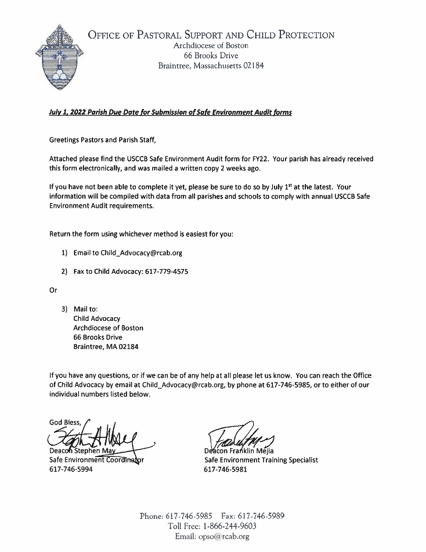

OFFICE OF PASTORAL SUPPORT AND CHILD PROTECTION Archdiocese of Boston 66 Brooks Drive Braintree, Massachusetts 02184

## **July 1, 2022 Parish Due Date for Submission of Safe Environment Audit forms**

**Greetings Pastors and Parish Staff,** 

Attached please find the USCCB Safe Environment Audit form for FY22. Your parish has already received this form electronically, and was mailed a written copy 2 weeks ago.

If you have not been able to complete it yet, please be sure to do so by July 1st at the latest. Your information will be compiled with data from all parishes and schools to comply with annual USCCB Safe **Environment Audit requirements.** 

Return the form using whichever method is easiest for you:

- 1) Email to Child\_Advocacy@rcab.org
- 2) Fax to Child Advocacy: 617-779-4575

Or

3) Mail to: **Child Advocacy** Archdiocese of Boston **66 Brooks Drive** Braintree, MA 02184

If you have any questions, or if we can be of any help at all please let us know. You can reach the Office of Child Advocacy by email at Child\_Advocacy@rcab.org, by phone at 617-746-5985, or to either of our individual numbers listed below.

**God Bless** 

Deaco**n** Stephen Ma Safe Environment Coordinator 617-746-5994

Deacon Franklin Mejia **Safe Environment Training Specialist** 617-746-5981

Phone: 617-746-5985 Fax: 617-746-5989 Toll Free: 1-866-244-9603 Email: opso@rcab.org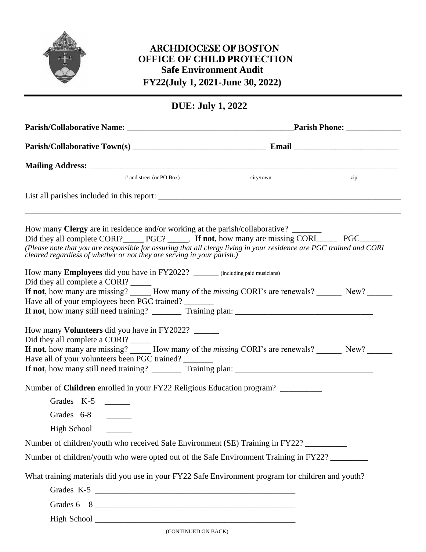

## ARCHDIOCESE OF BOSTON **OFFICE OF CHILD PROTECTION Safe Environment Audit FY22(July 1, 2021-June 30, 2022)**

## **DUE: July 1, 2022**

| # and street (or PO Box)                                                                                                                                                                                                                                                                                                                                                            | city/town | zip |  |
|-------------------------------------------------------------------------------------------------------------------------------------------------------------------------------------------------------------------------------------------------------------------------------------------------------------------------------------------------------------------------------------|-----------|-----|--|
|                                                                                                                                                                                                                                                                                                                                                                                     |           |     |  |
| How many <b>Clergy</b> are in residence and/or working at the parish/collaborative?<br>Did they all complete CORI? PGC? _____. If not, how many are missing CORI_______ PGC______<br>(Please note that you are responsible for assuring that all clergy living in your residence are PGC trained and CORI<br>cleared regardless of whether or not they are serving in your parish.) |           |     |  |
| How many Employees did you have in FY2022? _______ (including paid musicians)<br>Did they all complete a CORI?<br>If not, how many are missing? How many of the <i>missing</i> CORI's are renewals? New?<br>Have all of your employees been PGC trained?                                                                                                                            |           |     |  |
| How many <b>Volunteers</b> did you have in FY2022?<br>Did they all complete a CORI?<br>If not, how many are missing? How many of the <i>missing</i> CORI's are renewals? New?<br>Have all of your volunteers been PGC trained?                                                                                                                                                      |           |     |  |
| Number of <b>Children</b> enrolled in your FY22 Religious Education program?                                                                                                                                                                                                                                                                                                        |           |     |  |
| Grades K-5                                                                                                                                                                                                                                                                                                                                                                          |           |     |  |
| Grades 6-8                                                                                                                                                                                                                                                                                                                                                                          |           |     |  |
| High School                                                                                                                                                                                                                                                                                                                                                                         |           |     |  |
| Number of children/youth who received Safe Environment (SE) Training in FY22?                                                                                                                                                                                                                                                                                                       |           |     |  |
| Number of children/youth who were opted out of the Safe Environment Training in FY22?                                                                                                                                                                                                                                                                                               |           |     |  |
| What training materials did you use in your FY22 Safe Environment program for children and youth?                                                                                                                                                                                                                                                                                   |           |     |  |
| Grades K-5                                                                                                                                                                                                                                                                                                                                                                          |           |     |  |
|                                                                                                                                                                                                                                                                                                                                                                                     |           |     |  |
|                                                                                                                                                                                                                                                                                                                                                                                     |           |     |  |